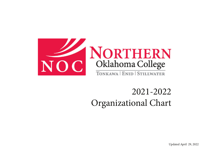

## 2021-2022Organizational Chart

Updated April 29, 2022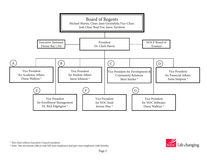

 $^\ast$  This chart reflects Executive Council members

\* Note: This document reflects only full-time employees and part-time employees with benefits.

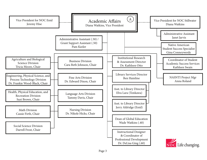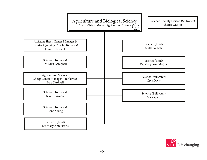

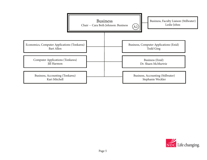

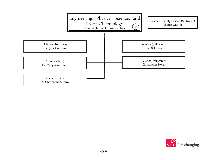

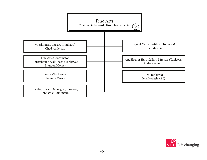

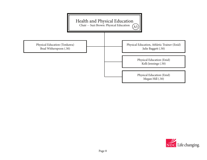

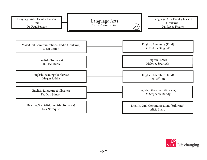

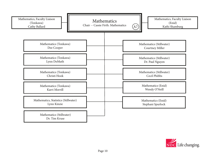

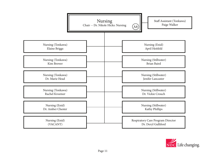

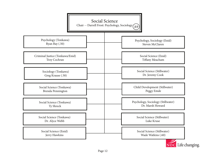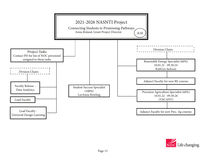

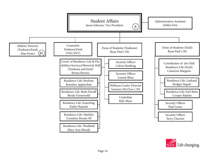

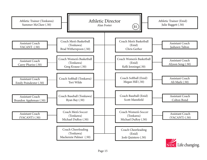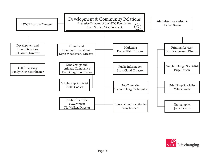

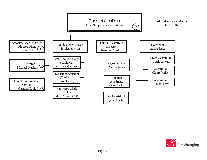

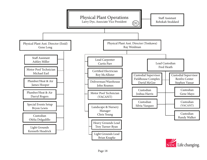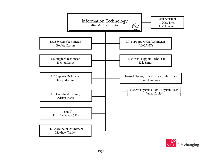

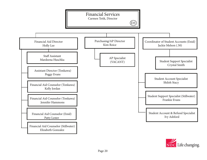

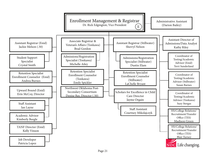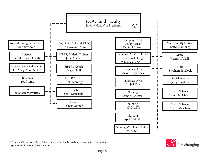

\* Campus VP has oversight of daily activities of all Enid-based employees; refer to institutional organizational chart for direct reports.

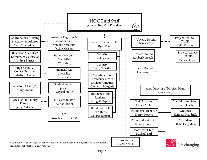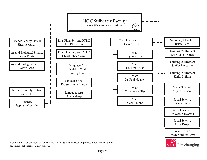